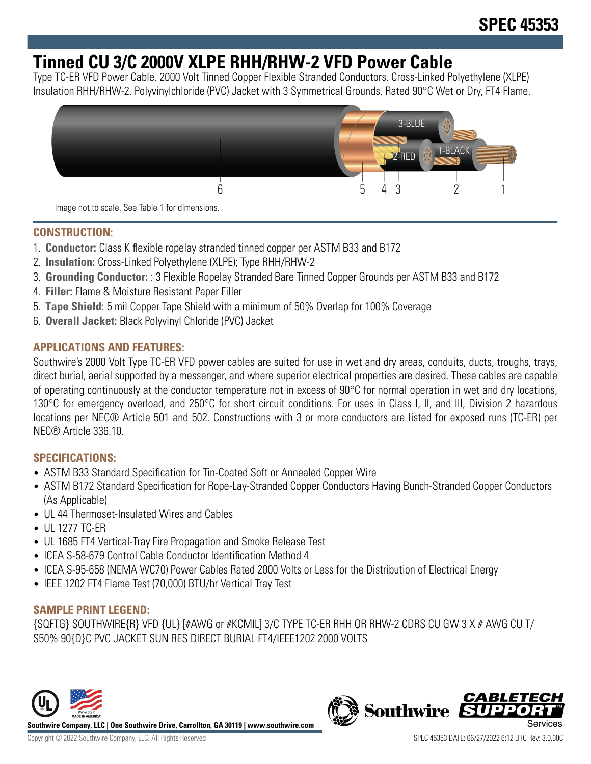# **Tinned CU 3/C 2000V XLPE RHH/RHW-2 VFD Power Cable**

Type TC-ER VFD Power Cable. 2000 Volt Tinned Copper Flexible Stranded Conductors. Cross-Linked Polyethylene (XLPE) Insulation RHH/RHW-2. Polyvinylchloride (PVC) Jacket with 3 Symmetrical Grounds. Rated 90°C Wet or Dry, FT4 Flame.



Image not to scale. See Table 1 for dimensions.

## **CONSTRUCTION:**

- 1. **Conductor:** Class K flexible ropelay stranded tinned copper per ASTM B33 and B172
- 2. **Insulation:** Cross-Linked Polyethylene (XLPE); Type RHH/RHW-2
- 3. **Grounding Conductor:** : 3 Flexible Ropelay Stranded Bare Tinned Copper Grounds per ASTM B33 and B172
- 4. **Filler:** Flame & Moisture Resistant Paper Filler
- 5. **Tape Shield:** 5 mil Copper Tape Shield with a minimum of 50% Overlap for 100% Coverage
- 6. **Overall Jacket:** Black Polyvinyl Chloride (PVC) Jacket

## **APPLICATIONS AND FEATURES:**

Southwire's 2000 Volt Type TC-ER VFD power cables are suited for use in wet and dry areas, conduits, ducts, troughs, trays, direct burial, aerial supported by a messenger, and where superior electrical properties are desired. These cables are capable of operating continuously at the conductor temperature not in excess of 90 $\degree$ C for normal operation in wet and dry locations, 130°C for emergency overload, and 250°C for short circuit conditions. For uses in Class I, II, and III, Division 2 hazardous locations per NEC® Article 501 and 502. Constructions with 3 or more conductors are listed for exposed runs (TC-ER) per NEC® Article 336.10.

# **SPECIFICATIONS:**

- ASTM B33 Standard Specification for Tin-Coated Soft or Annealed Copper Wire
- ASTM B172 Standard Specification for Rope-Lay-Stranded Copper Conductors Having Bunch-Stranded Copper Conductors (As Applicable)
- UL 44 Thermoset-Insulated Wires and Cables
- UL 1277 TC-ER
- UL 1685 FT4 Vertical-Tray Fire Propagation and Smoke Release Test
- ICEA S-58-679 Control Cable Conductor Identification Method 4
- ICEA S-95-658 (NEMA WC70) Power Cables Rated 2000 Volts or Less for the Distribution of Electrical Energy
- IEEE 1202 FT4 Flame Test (70,000) BTU/hr Vertical Tray Test

### **SAMPLE PRINT LEGEND:**

{SQFTG} SOUTHWIRE{R} VFD {UL} [#AWG or #KCMIL] 3/C TYPE TC-ER RHH OR RHW-2 CDRS CU GW 3 X # AWG CU T/ S50% 90{D}C PVC JACKET SUN RES DIRECT BURIAL FT4/IEEE1202 2000 VOLTS



**Southwire Company, LLC | One Southwire Drive, Carrollton, GA 30119 | www.southwire.com**